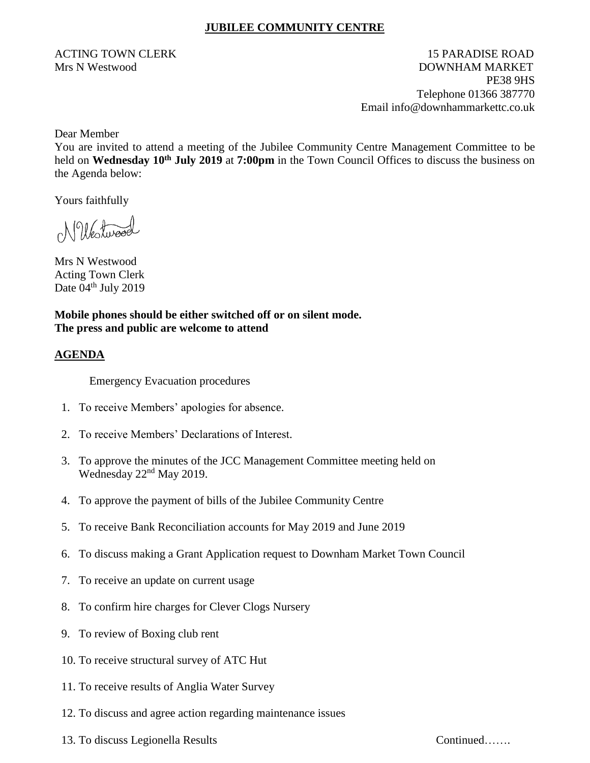## **JUBILEE COMMUNITY CENTRE**

ACTING TOWN CLERK 15 PARADISE ROAD Mrs N Westwood DOWNHAM MARKET PE38 9HS Telephone 01366 387770 Email info@downhammarkettc.co.uk

Dear Member

You are invited to attend a meeting of the Jubilee Community Centre Management Committee to be held on **Wednesday 10th July 2019** at **7:00pm** in the Town Council Offices to discuss the business on the Agenda below:

Yours faithfully

NWestward

Mrs N Westwood Acting Town Clerk Date 04<sup>th</sup> July 2019

**Mobile phones should be either switched off or on silent mode. The press and public are welcome to attend**

## **AGENDA**

Emergency Evacuation procedures

- 1. To receive Members' apologies for absence.
- 2. To receive Members' Declarations of Interest.
- 3. To approve the minutes of the JCC Management Committee meeting held on Wednesday 22<sup>nd</sup> May 2019.
- 4. To approve the payment of bills of the Jubilee Community Centre
- 5. To receive Bank Reconciliation accounts for May 2019 and June 2019
- 6. To discuss making a Grant Application request to Downham Market Town Council
- 7. To receive an update on current usage
- 8. To confirm hire charges for Clever Clogs Nursery
- 9. To review of Boxing club rent
- 10. To receive structural survey of ATC Hut
- 11. To receive results of Anglia Water Survey
- 12. To discuss and agree action regarding maintenance issues
- 13. To discuss Legionella Results Continued…….